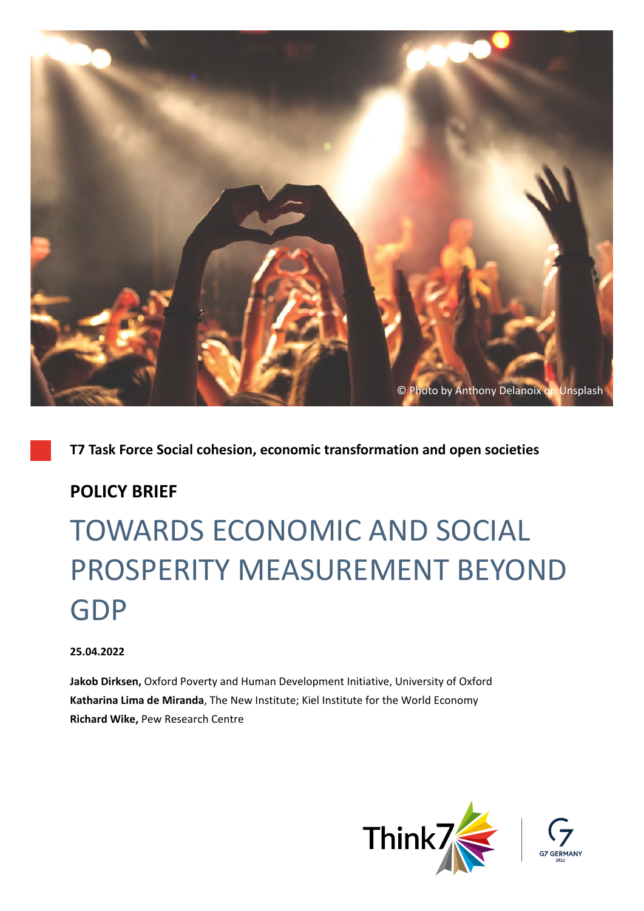

**T7 Task Force Social cohesion, economic transformation and open societies**

### **POLICY BRIEF**

# TOWARDS ECONOMIC AND SOCIAL PROSPERITY MEASUREMENT BEYOND GDP

#### **25.04.2022**

**Jakob Dirksen,** Oxford Poverty and Human Development Initiative, University of Oxford **Katharina Lima de Miranda**, The New Institute; Kiel Institute for the World Economy **Richard Wike,** Pew Research Centre

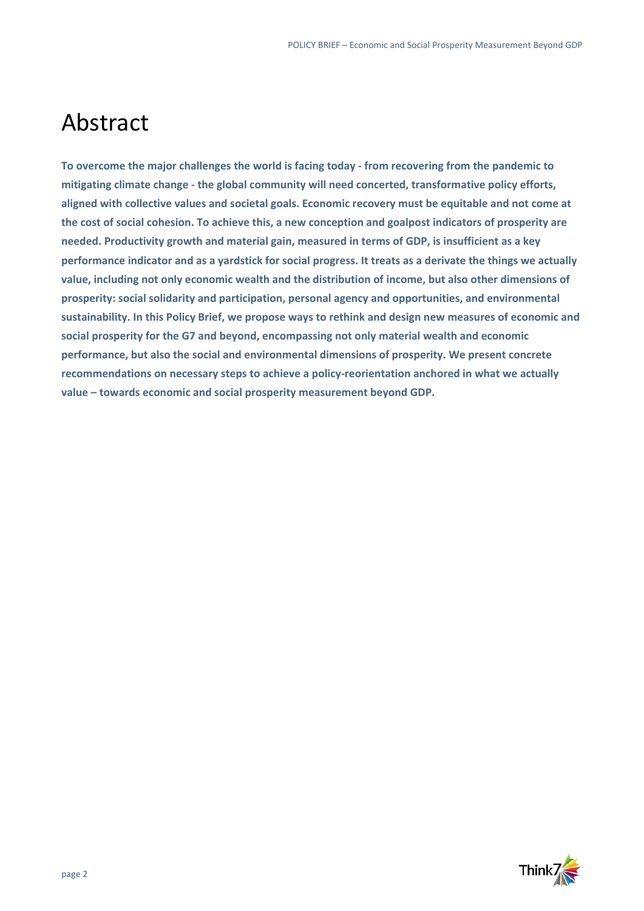### Abstract

**To overcome the major challenges the world is facing today - from recovering from the pandemic to mitigating climate change - the global community will need concerted, transformative policy efforts, aligned with collective values and societal goals. Economic recovery must be equitable and not come at the cost of social cohesion. To achieve this, a new conception and goalpost indicators of prosperity are needed. Productivity growth and material gain, measured in terms of GDP, is insufficient as a key performance indicator and as a yardstick for social progress. It treats as a derivate the things we actually value, including not only economic wealth and the distribution of income, but also other dimensions of prosperity: social solidarity and participation, personal agency and opportunities, and environmental sustainability. In this Policy Brief, we propose ways to rethink and design new measures of economic and social prosperity for the G7 and beyond, encompassing not only material wealth and economic performance, but also the social and environmental dimensions of prosperity. We present concrete recommendations on necessary steps to achieve a policy-reorientation anchored in what we actually value – towards economic and social prosperity measurement beyond GDP.**

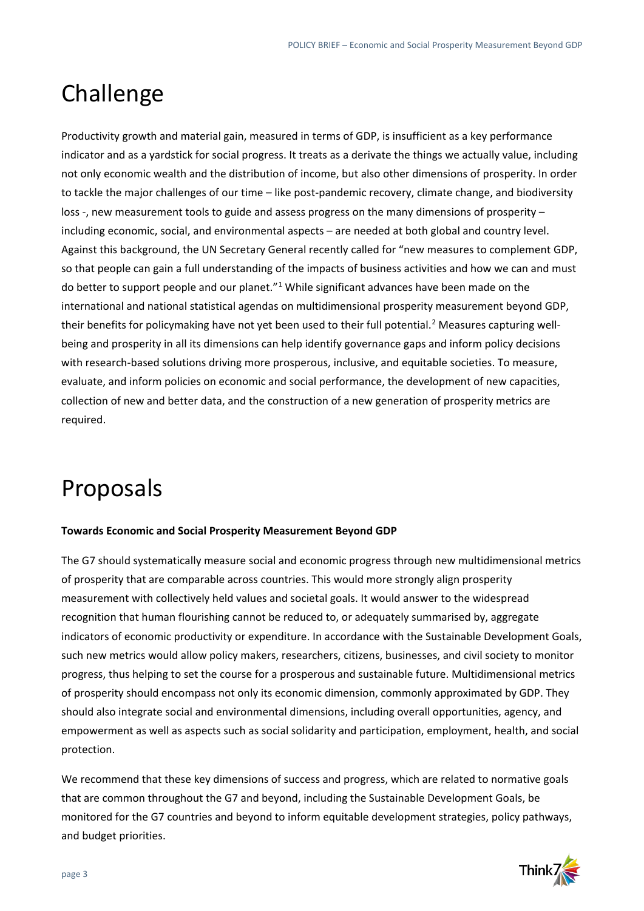### Challenge

Productivity growth and material gain, measured in terms of GDP, is insufficient as a key performance indicator and as a yardstick for social progress. It treats as a derivate the things we actually value, including not only economic wealth and the distribution of income, but also other dimensions of prosperity. In order to tackle the major challenges of our time – like post-pandemic recovery, climate change, and biodiversity loss -, new measurement tools to guide and assess progress on the many dimensions of prosperity – including economic, social, and environmental aspects – are needed at both global and country level. Against this background, the UN Secretary General recently called for "new measures to complement GDP, so that people can gain a full understanding of the impacts of business activities and how we can and must do better to support people and our planet."<sup>[1](#page-6-0)</sup> While significant advances have been made on the international and national statistical agendas on multidimensional prosperity measurement beyond GDP, their benefits for policymaking have not yet been used to their full potential.<sup>[2](#page-6-1)</sup> Measures capturing wellbeing and prosperity in all its dimensions can help identify governance gaps and inform policy decisions with research-based solutions driving more prosperous, inclusive, and equitable societies. To measure, evaluate, and inform policies on economic and social performance, the development of new capacities, collection of new and better data, and the construction of a new generation of prosperity metrics are required.

## Proposals

#### **Towards Economic and Social Prosperity Measurement Beyond GDP**

The G7 should systematically measure social and economic progress through new multidimensional metrics of prosperity that are comparable across countries. This would more strongly align prosperity measurement with collectively held values and societal goals. It would answer to the widespread recognition that human flourishing cannot be reduced to, or adequately summarised by, aggregate indicators of economic productivity or expenditure. In accordance with the Sustainable Development Goals, such new metrics would allow policy makers, researchers, citizens, businesses, and civil society to monitor progress, thus helping to set the course for a prosperous and sustainable future. Multidimensional metrics of prosperity should encompass not only its economic dimension, commonly approximated by GDP. They should also integrate social and environmental dimensions, including overall opportunities, agency, and empowerment as well as aspects such as social solidarity and participation, employment, health, and social protection.

We recommend that these key dimensions of success and progress, which are related to normative goals that are common throughout the G7 and beyond, including the Sustainable Development Goals, be monitored for the G7 countries and beyond to inform equitable development strategies, policy pathways, and budget priorities.

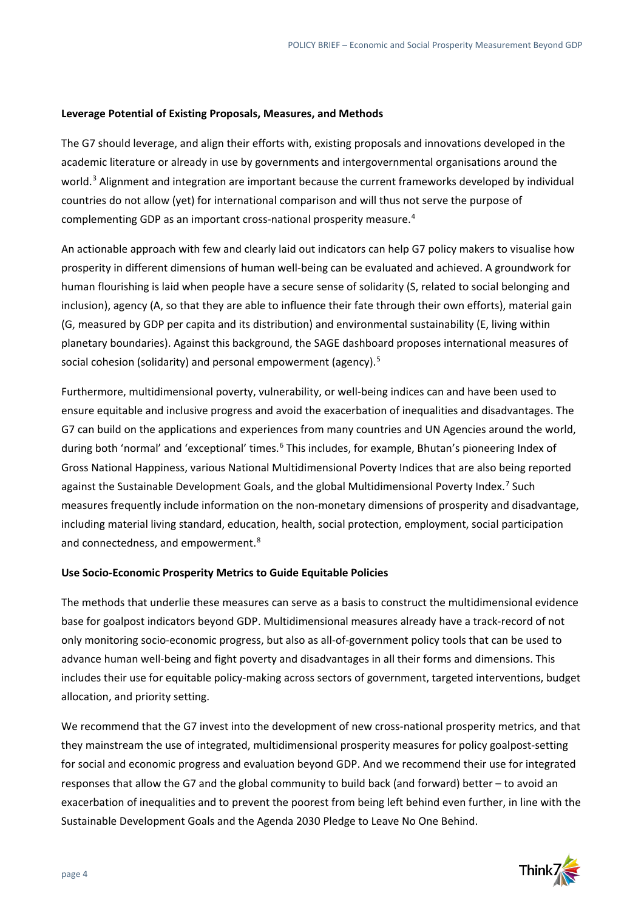#### **Leverage Potential of Existing Proposals, Measures, and Methods**

The G7 should leverage, and align their efforts with, existing proposals and innovations developed in the academic literature or already in use by governments and intergovernmental organisations around the world.<sup>[3](#page-6-2)</sup> Alignment and integration are important because the current frameworks developed by individual countries do not allow (yet) for international comparison and will thus not serve the purpose of complementing GDP as an important cross-national prosperity measure.<sup>[4](#page-6-3)</sup>

An actionable approach with few and clearly laid out indicators can help G7 policy makers to visualise how prosperity in different dimensions of human well-being can be evaluated and achieved. A groundwork for human flourishing is laid when people have a secure sense of solidarity (S, related to social belonging and inclusion), agency (A, so that they are able to influence their fate through their own efforts), material gain (G, measured by GDP per capita and its distribution) and environmental sustainability (E, living within planetary boundaries). Against this background, the SAGE dashboard proposes international measures of social cohesion (solidarity) and personal empowerment (agency).<sup>[5](#page-6-4)</sup>

Furthermore, multidimensional poverty, vulnerability, or well-being indices can and have been used to ensure equitable and inclusive progress and avoid the exacerbation of inequalities and disadvantages. The G7 can build on the applications and experiences from many countries and UN Agencies around the world, during both 'normal' and 'exceptional' times.<sup>[6](#page-6-5)</sup> This includes, for example, Bhutan's pioneering Index of Gross National Happiness, various National Multidimensional Poverty Indices that are also being reported against the Sustainable Development Goals, and the global Multidimensional Poverty Index.<sup>[7](#page-6-6)</sup> Such measures frequently include information on the non-monetary dimensions of prosperity and disadvantage, including material living standard, education, health, social protection, employment, social participation and connectedness, and empowerment.<sup>[8](#page-6-7)</sup>

#### **Use Socio-Economic Prosperity Metrics to Guide Equitable Policies**

The methods that underlie these measures can serve as a basis to construct the multidimensional evidence base for goalpost indicators beyond GDP. Multidimensional measures already have a track-record of not only monitoring socio-economic progress, but also as all-of-government policy tools that can be used to advance human well-being and fight poverty and disadvantages in all their forms and dimensions. This includes their use for equitable policy-making across sectors of government, targeted interventions, budget allocation, and priority setting.

We recommend that the G7 invest into the development of new cross-national prosperity metrics, and that they mainstream the use of integrated, multidimensional prosperity measures for policy goalpost-setting for social and economic progress and evaluation beyond GDP. And we recommend their use for integrated responses that allow the G7 and the global community to build back (and forward) better – to avoid an exacerbation of inequalities and to prevent the poorest from being left behind even further, in line with the Sustainable Development Goals and the Agenda 2030 Pledge to Leave No One Behind.

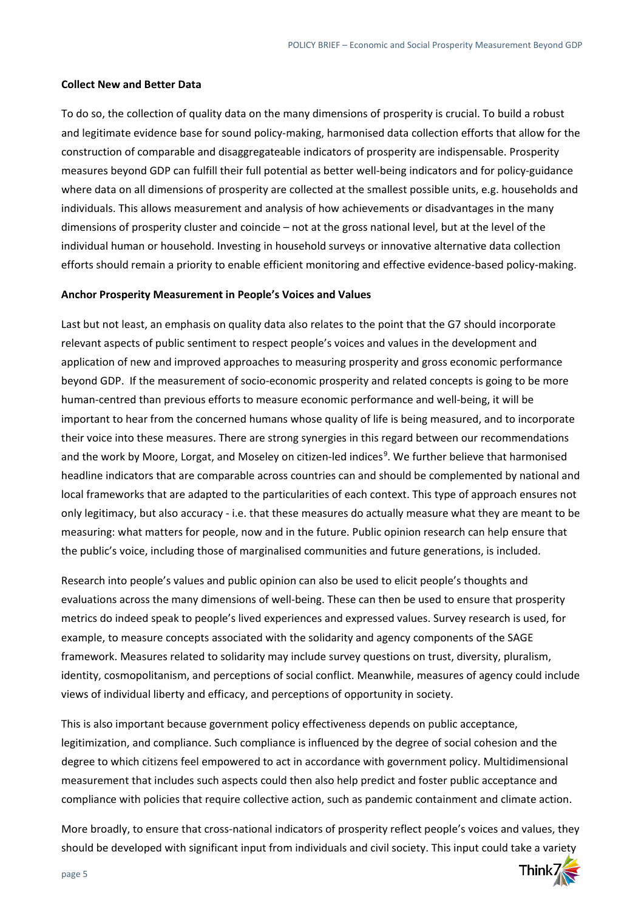#### **Collect New and Better Data**

To do so, the collection of quality data on the many dimensions of prosperity is crucial. To build a robust and legitimate evidence base for sound policy-making, harmonised data collection efforts that allow for the construction of comparable and disaggregateable indicators of prosperity are indispensable. Prosperity measures beyond GDP can fulfill their full potential as better well-being indicators and for policy-guidance where data on all dimensions of prosperity are collected at the smallest possible units, e.g. households and individuals. This allows measurement and analysis of how achievements or disadvantages in the many dimensions of prosperity cluster and coincide – not at the gross national level, but at the level of the individual human or household. Investing in household surveys or innovative alternative data collection efforts should remain a priority to enable efficient monitoring and effective evidence-based policy-making.

#### **Anchor Prosperity Measurement in People's Voices and Values**

Last but not least, an emphasis on quality data also relates to the point that the G7 should incorporate relevant aspects of public sentiment to respect people's voices and values in the development and application of new and improved approaches to measuring prosperity and gross economic performance beyond GDP. If the measurement of socio-economic prosperity and related concepts is going to be more human-centred than previous efforts to measure economic performance and well-being, it will be important to hear from the concerned humans whose quality of life is being measured, and to incorporate their voice into these measures. There are strong synergies in this regard between our recommendations and the work by Moore, Lorgat, and Moseley on citizen-led indices<sup>[9](#page-6-8)</sup>. We further believe that harmonised headline indicators that are comparable across countries can and should be complemented by national and local frameworks that are adapted to the particularities of each context. This type of approach ensures not only legitimacy, but also accuracy - i.e. that these measures do actually measure what they are meant to be measuring: what matters for people, now and in the future. Public opinion research can help ensure that the public's voice, including those of marginalised communities and future generations, is included.

Research into people's values and public opinion can also be used to elicit people's thoughts and evaluations across the many dimensions of well-being. These can then be used to ensure that prosperity metrics do indeed speak to people's lived experiences and expressed values. Survey research is used, for example, to measure concepts associated with the solidarity and agency components of the SAGE framework. Measures related to solidarity may include survey questions on trust, diversity, pluralism, identity, cosmopolitanism, and perceptions of social conflict. Meanwhile, measures of agency could include views of individual liberty and efficacy, and perceptions of opportunity in society.

This is also important because government policy effectiveness depends on public acceptance, legitimization, and compliance. Such compliance is influenced by the degree of social cohesion and the degree to which citizens feel empowered to act in accordance with government policy. Multidimensional measurement that includes such aspects could then also help predict and foster public acceptance and compliance with policies that require collective action, such as pandemic containment and climate action.

More broadly, to ensure that cross-national indicators of prosperity reflect people's voices and values, they should be developed with significant input from individuals and civil society. This input could take a variety

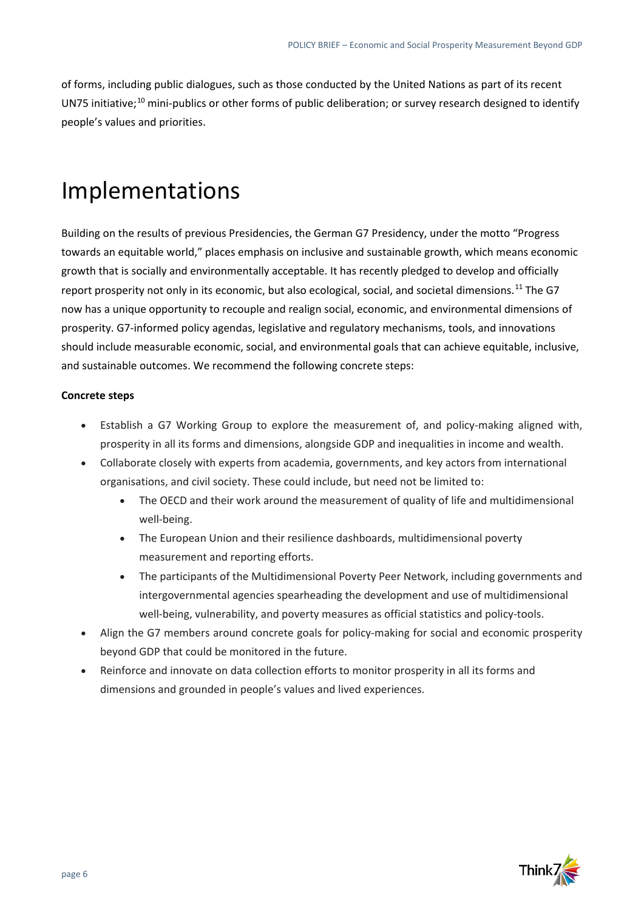of forms, including public dialogues, such as those conducted by the United Nations as part of its recent UN75 initiative;<sup>[10](#page-6-9)</sup> mini-publics or other forms of public deliberation; or survey research designed to identify people's values and priorities.

### Implementations

Building on the results of previous Presidencies, the German G7 Presidency, under the motto "Progress towards an equitable world," places emphasis on inclusive and sustainable growth, which means economic growth that is socially and environmentally acceptable. It has recently pledged to develop and officially report prosperity not only in its economic, but also ecological, social, and societal dimensions.<sup>[11](#page-6-10)</sup> The G7 now has a unique opportunity to recouple and realign social, economic, and environmental dimensions of prosperity. G7-informed policy agendas, legislative and regulatory mechanisms, tools, and innovations should include measurable economic, social, and environmental goals that can achieve equitable, inclusive, and sustainable outcomes. We recommend the following concrete steps:

#### **Concrete steps**

- Establish a G7 Working Group to explore the measurement of, and policy-making aligned with, prosperity in all its forms and dimensions, alongside GDP and inequalities in income and wealth.
- Collaborate closely with experts from academia, governments, and key actors from international organisations, and civil society. These could include, but need not be limited to:
	- The OECD and their work around the measurement of quality of life and multidimensional well-being.
	- The European Union and their resilience dashboards, multidimensional poverty measurement and reporting efforts.
	- The participants of the Multidimensional Poverty Peer Network, including governments and intergovernmental agencies spearheading the development and use of multidimensional well-being, vulnerability, and poverty measures as official statistics and policy-tools.
- Align the G7 members around concrete goals for policy-making for social and economic prosperity beyond GDP that could be monitored in the future.
- Reinforce and innovate on data collection efforts to monitor prosperity in all its forms and dimensions and grounded in people's values and lived experiences.

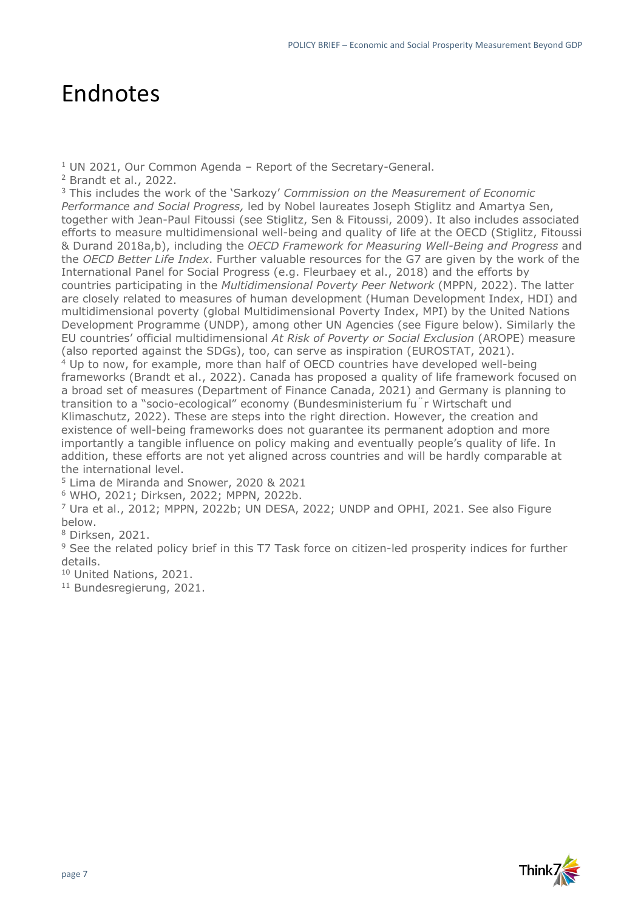### Endnotes

<span id="page-6-0"></span><sup>1</sup> UN 2021, Our Common Agenda – Report of the Secretary-General.

<span id="page-6-1"></span><sup>2</sup> Brandt et al., 2022.

<span id="page-6-2"></span><sup>3</sup> This includes the work of the 'Sarkozy' *Commission on the Measurement of Economic Performance and Social Progress,* led by Nobel laureates Joseph Stiglitz and Amartya Sen, together with Jean-Paul Fitoussi (see Stiglitz, Sen & Fitoussi, 2009). It also includes associated efforts to measure multidimensional well-being and quality of life at the OECD (Stiglitz, Fitoussi & Durand 2018a,b), including the *OECD Framework for Measuring Well-Being and Progress* and the *OECD Better Life Index*. Further valuable resources for the G7 are given by the work of the International Panel for Social Progress (e.g. Fleurbaey et al., 2018) and the efforts by countries participating in the *Multidimensional Poverty Peer Network* (MPPN, 2022). The latter are closely related to measures of human development (Human Development Index, HDI) and multidimensional poverty (global Multidimensional Poverty Index, MPI) by the United Nations Development Programme (UNDP), among other UN Agencies (see Figure below). Similarly the EU countries' official multidimensional *At Risk of Poverty or Social Exclusion* (AROPE) measure (also reported against the SDGs), too, can serve as inspiration (EUROSTAT, 2021). <sup>4</sup> Up to now, for example, more than half of OECD countries have developed well-being frameworks (Brandt et al., 2022). Canada has proposed a quality of life framework focused on a broad set of measures (Department of Finance Canada, 2021) and Germany is planning to transition to a "socio-ecological" economy (Bundesministerium fu r Wirtschaft und Klimaschutz, 2022). These are steps into the right direction. However, the creation and existence of well-being frameworks does not guarantee its permanent adoption and more importantly a tangible influence on policy making and eventually people's quality of life. In addition, these efforts are not yet aligned across countries and will be hardly comparable at the international level.

<span id="page-6-5"></span><span id="page-6-4"></span><span id="page-6-3"></span><sup>5</sup> Lima de Miranda and Snower, 2020 & 2021

<span id="page-6-6"></span><sup>6</sup> WHO, 2021; Dirksen, 2022; MPPN, 2022b.

 $<sup>7</sup>$  Ura et al., 2012; MPPN, 2022b; UN DESA, 2022; UNDP and OPHI, 2021. See also Figure</sup> below.

<span id="page-6-8"></span><span id="page-6-7"></span><sup>8</sup> Dirksen, 2021.

<span id="page-6-9"></span><sup>9</sup> See the related policy brief in this T7 Task force on citizen-led prosperity indices for further details.

<span id="page-6-10"></span><sup>10</sup> United Nations, 2021.

<sup>11</sup> Bundesregierung, 2021.

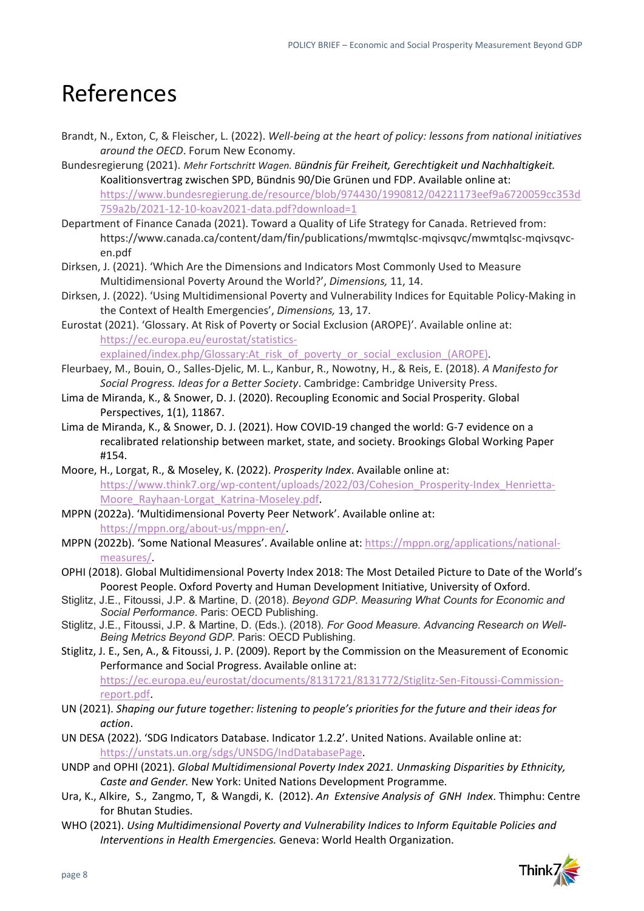### References

- Brandt, N., Exton, C, & Fleischer, L. (2022). *Well-being at the heart of policy: lessons from national initiatives around the OECD*. Forum New Economy.
- Bundesregierung (2021). *Mehr Fortschritt Wagen. Bündnis für Freiheit, Gerechtigkeit und Nachhaltigkeit.* Koalitionsvertrag zwischen SPD, Bündnis 90/Die Grünen und FDP. Available online at: [https://www.bundesregierung.de/resource/blob/974430/1990812/04221173eef9a6720059cc353d](https://www.bundesregierung.de/resource/blob/974430/1990812/04221173eef9a6720059cc353d759a2b/2021-12-10-koav2021-data.pdf?download=1) [759a2b/2021-12-10-koav2021-data.pdf?download=1](https://www.bundesregierung.de/resource/blob/974430/1990812/04221173eef9a6720059cc353d759a2b/2021-12-10-koav2021-data.pdf?download=1)
- Department of Finance Canada (2021). Toward a Quality of Life Strategy for Canada. Retrieved from: https://www.canada.ca/content/dam/fin/publications/mwmtqlsc-mqivsqvc/mwmtqlsc-mqivsqvcen.pdf
- Dirksen, J. (2021). 'Which Are the Dimensions and Indicators Most Commonly Used to Measure Multidimensional Poverty Around the World?', *Dimensions,* 11, 14.
- Dirksen, J. (2022). 'Using Multidimensional Poverty and Vulnerability Indices for Equitable Policy-Making in the Context of Health Emergencies', *Dimensions,* 13, 17.
- Eurostat (2021). 'Glossary. At Risk of Poverty or Social Exclusion (AROPE)'. Available online at: [https://ec.europa.eu/eurostat/statistics](https://ec.europa.eu/eurostat/statistics-explained/index.php/Glossary:At_risk_of_poverty_or_social_exclusion_(AROPE))[explained/index.php/Glossary:At\\_risk\\_of\\_poverty\\_or\\_social\\_exclusion\\_\(AROPE\).](https://ec.europa.eu/eurostat/statistics-explained/index.php/Glossary:At_risk_of_poverty_or_social_exclusion_(AROPE))
- Fleurbaey, M., Bouin, O., Salles-Djelic, M. L., Kanbur, R., Nowotny, H., & Reis, E. (2018). *A Manifesto for Social Progress. Ideas for a Better Society*. Cambridge: Cambridge University Press.
- Lima de Miranda, K., & Snower, D. J. (2020). Recoupling Economic and Social Prosperity. Global Perspectives, 1(1), 11867.
- Lima de Miranda, K., & Snower, D. J. (2021). How COVID-19 changed the world: G-7 evidence on a recalibrated relationship between market, state, and society. Brookings Global Working Paper #154.
- Moore, H., Lorgat, R., & Moseley, K. (2022). *Prosperity Index*. Available online at: [https://www.think7.org/wp-content/uploads/2022/03/Cohesion\\_Prosperity-Index\\_Henrietta-](https://www.think7.org/wp-content/uploads/2022/03/Cohesion_Prosperity-Index_Henrietta-Moore_Rayhaan-Lorgat_Katrina-Moseley.pdf)Moore Rayhaan-Lorgat Katrina-Moseley.pdf.
- MPPN (2022a). 'Multidimensional Poverty Peer Network'. Available online at: [https://mppn.org/about-us/mppn-en/.](https://mppn.org/about-us/mppn-en/)
- MPPN (2022b). 'Some National Measures'. Available online at[: https://mppn.org/applications/national](https://mppn.org/applications/national-measures/)[measures/.](https://mppn.org/applications/national-measures/)
- OPHI (2018). Global Multidimensional Poverty Index 2018: The Most Detailed Picture to Date of the World's Poorest People. Oxford Poverty and Human Development Initiative, University of Oxford.
- Stiglitz, J.E., Fitoussi, J.P. & Martine, D. (2018). *Beyond GDP. Measuring What Counts for Economic and Social Performance*. Paris: OECD Publishing.
- Stiglitz, J.E., Fitoussi, J.P. & Martine, D. (Eds.). (2018). *For Good Measure. Advancing Research on Well-Being Metrics Beyond GDP*. Paris: OECD Publishing.
- Stiglitz, J. E., Sen, A., & Fitoussi, J. P. (2009). Report by the Commission on the Measurement of Economic Performance and Social Progress. Available online at: [https://ec.europa.eu/eurostat/documents/8131721/8131772/Stiglitz-Sen-Fitoussi-Commission](https://ec.europa.eu/eurostat/documents/8131721/8131772/Stiglitz-Sen-Fitoussi-Commission-report.pdf)[report.pdf.](https://ec.europa.eu/eurostat/documents/8131721/8131772/Stiglitz-Sen-Fitoussi-Commission-report.pdf)
- UN (2021). *Shaping our future together: listening to people's priorities for the future and their ideas for action*.
- UN DESA (2022). 'SDG Indicators Database. Indicator 1.2.2'. United Nations. Available online at: [https://unstats.un.org/sdgs/UNSDG/IndDatabasePage.](https://unstats.un.org/sdgs/UNSDG/IndDatabasePage)
- UNDP and OPHI (2021). *Global Multidimensional Poverty Index 2021. Unmasking Disparities by Ethnicity, Caste and Gender.* New York: United Nations Development Programme.
- Ura, K., Alkire, S., Zangmo, T, & Wangdi, K. (2012). *An Extensive Analysis of GNH Index*. Thimphu: Centre for Bhutan Studies.
- WHO (2021). *Using Multidimensional Poverty and Vulnerability Indices to Inform Equitable Policies and Interventions in Health Emergencies.* Geneva: World Health Organization.

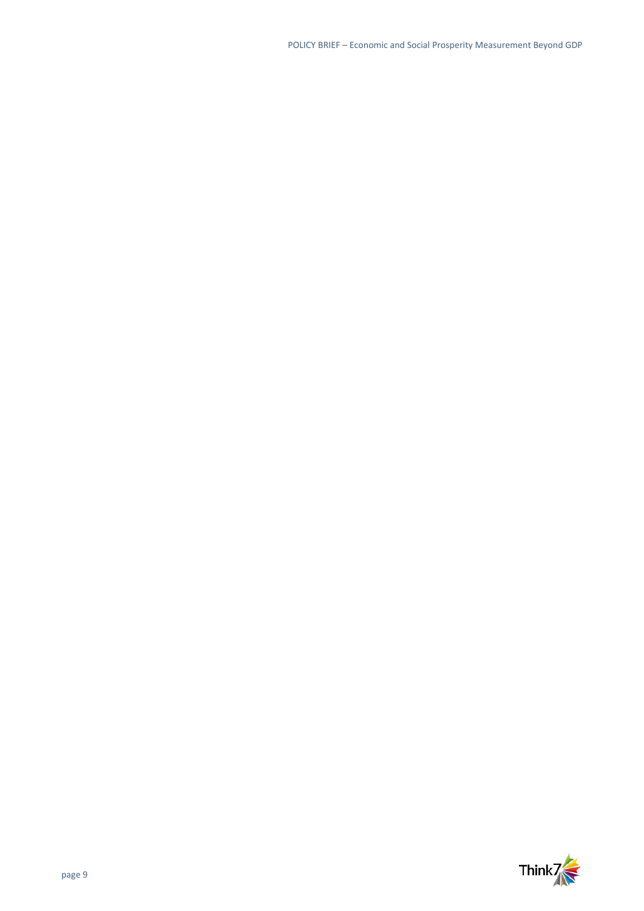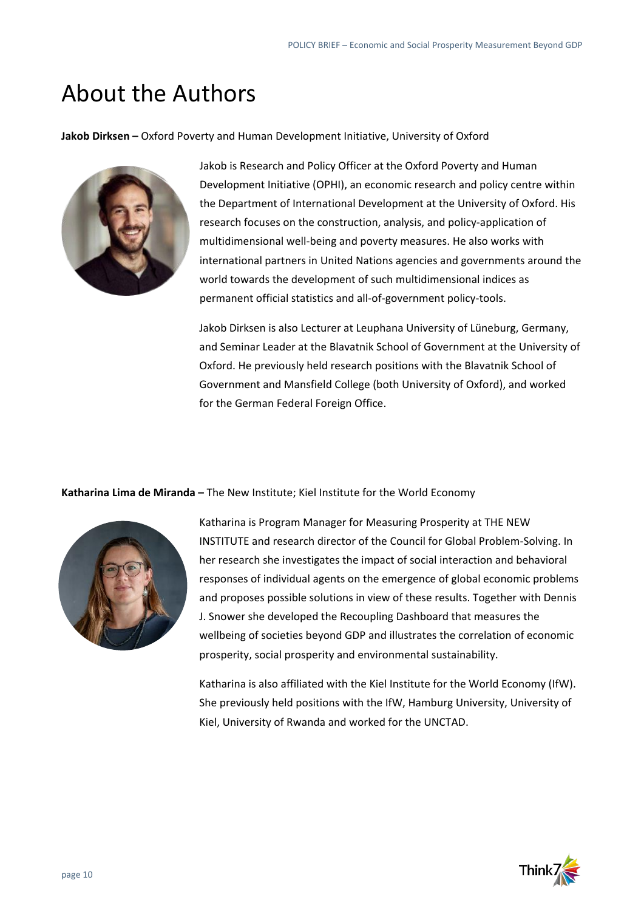### About the Authors

**Jakob Dirksen –** Oxford Poverty and Human Development Initiative, University of Oxford



Jakob is Research and Policy Officer at the Oxford Poverty and Human Development Initiative (OPHI), an economic research and policy centre within the Department of International Development at the University of Oxford. His research focuses on the construction, analysis, and policy-application of multidimensional well-being and poverty measures. He also works with international partners in United Nations agencies and governments around the world towards the development of such multidimensional indices as permanent official statistics and all-of-government policy-tools.

Jakob Dirksen is also Lecturer at Leuphana University of Lüneburg, Germany, and Seminar Leader at the Blavatnik School of Government at the University of Oxford. He previously held research positions with the Blavatnik School of Government and Mansfield College (both University of Oxford), and worked for the German Federal Foreign Office.

**Katharina Lima de Miranda –** The New Institute; Kiel Institute for the World Economy



Katharina is Program Manager for Measuring Prosperity at THE NEW INSTITUTE and research director of the Council for Global Problem-Solving. In her research she investigates the impact of social interaction and behavioral responses of individual agents on the emergence of global economic problems and proposes possible solutions in view of these results. Together with Dennis J. Snower she developed the Recoupling Dashboard that measures the wellbeing of societies beyond GDP and illustrates the correlation of economic prosperity, social prosperity and environmental sustainability.

Katharina is also affiliated with the Kiel Institute for the World Economy (IfW). She previously held positions with the IfW, Hamburg University, University of Kiel, University of Rwanda and worked for the UNCTAD.

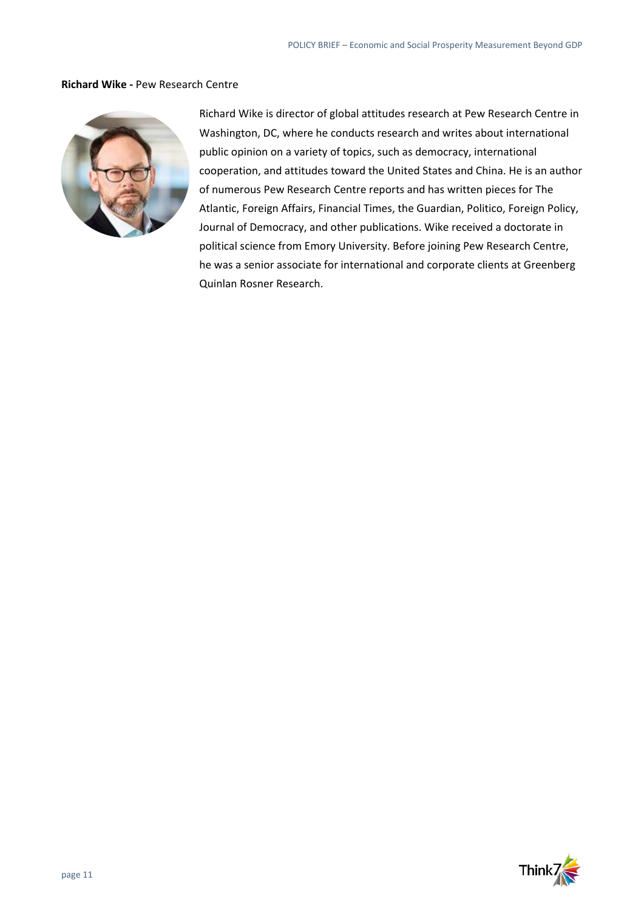#### **Richard Wike -** Pew Research Centre



Richard Wike is director of global attitudes research at Pew Research Centre in Washington, DC, where he conducts research and writes about international public opinion on a variety of topics, such as democracy, international cooperation, and attitudes toward the United States and China. He is an author of numerous Pew Research Centre reports and has written pieces for The Atlantic, Foreign Affairs, Financial Times, the Guardian, Politico, Foreign Policy, Journal of Democracy, and other publications. Wike received a doctorate in political science from Emory University. Before joining Pew Research Centre, he was a senior associate for international and corporate clients at Greenberg Quinlan Rosner Research.